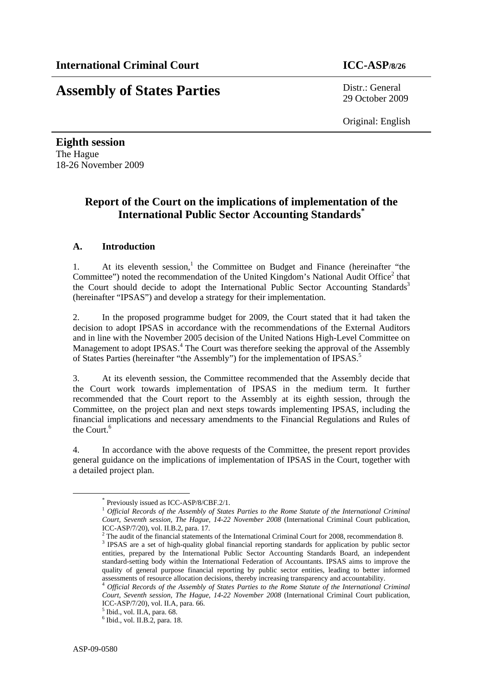# **Assembly of States Parties** Distr.: General

29 October 2009

Original: English

**Eighth session**  The Hague 18-26 November 2009

# **Report of the Court on the implications of implementation of the International Public Sector Accounting Standards\***

# **A. Introduction**

1. At its eleventh session,<sup>1</sup> the Committee on Budget and Finance (hereinafter "the Committee") noted the recommendation of the United Kingdom's National Audit Office<sup>2</sup> that the Court should decide to adopt the International Public Sector Accounting Standards<sup>3</sup> (hereinafter "IPSAS") and develop a strategy for their implementation.

2. In the proposed programme budget for 2009, the Court stated that it had taken the decision to adopt IPSAS in accordance with the recommendations of the External Auditors and in line with the November 2005 decision of the United Nations High-Level Committee on Management to adopt IPSAS.<sup>4</sup> The Court was therefore seeking the approval of the Assembly of States Parties (hereinafter "the Assembly") for the implementation of IPSAS.<sup>5</sup>

3. At its eleventh session, the Committee recommended that the Assembly decide that the Court work towards implementation of IPSAS in the medium term. It further recommended that the Court report to the Assembly at its eighth session, through the Committee, on the project plan and next steps towards implementing IPSAS, including the financial implications and necessary amendments to the Financial Regulations and Rules of the Court.<sup>6</sup>

4. In accordance with the above requests of the Committee, the present report provides general guidance on the implications of implementation of IPSAS in the Court, together with a detailed project plan.

 <sup>\*</sup> Previously issued as ICC-ASP/8/CBF.2/1.

<sup>1</sup> *Official Records of the Assembly of States Parties to the Rome Statute of the International Criminal Court, Seventh session, The Hague, 14-22 November 2008* (International Criminal Court publication, ICC-ASP/7/20), vol. II.B.2, para. 17.

<sup>&</sup>lt;sup>2</sup> The audit of the financial statements of the International Criminal Court for 2008, recommendation 8.  $\frac{3}{2}$  IDS AS are a set of high quality alghed financial genering standards for application by public sect.

<sup>&</sup>lt;sup>3</sup> IPSAS are a set of high-quality global financial reporting standards for application by public sector entities, prepared by the International Public Sector Accounting Standards Board, an independent standard-setting body within the International Federation of Accountants. IPSAS aims to improve the quality of general purpose financial reporting by public sector entities, leading to better informed assessments of resource allocation decisions, thereby increasing transparency and accountability.

<sup>4</sup> *Official Records of the Assembly of States Parties to the Rome Statute of the International Criminal Court, Seventh session, The Hague, 14-22 November 2008* (International Criminal Court publication, ICC-ASP/7/20), vol. II.A, para. 66.

<sup>5</sup> Ibid., vol. II.A, para. 68.

<sup>6</sup> Ibid., vol. II.B.2, para. 18.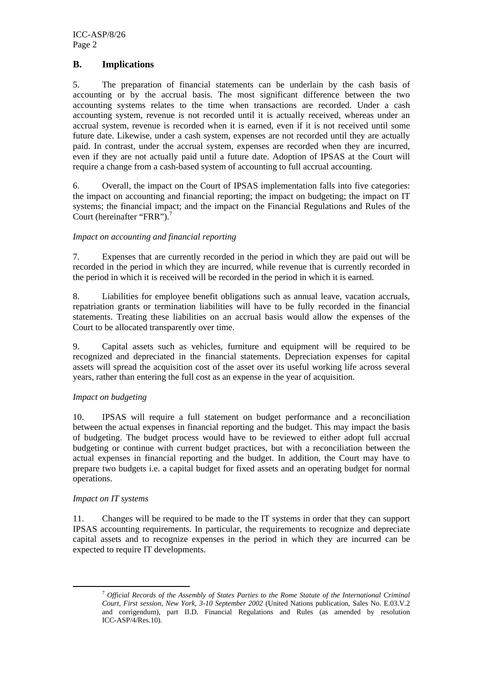# **B. Implications**

5. The preparation of financial statements can be underlain by the cash basis of accounting or by the accrual basis. The most significant difference between the two accounting systems relates to the time when transactions are recorded. Under a cash accounting system, revenue is not recorded until it is actually received, whereas under an accrual system, revenue is recorded when it is earned, even if it is not received until some future date. Likewise, under a cash system, expenses are not recorded until they are actually paid. In contrast, under the accrual system, expenses are recorded when they are incurred, even if they are not actually paid until a future date. Adoption of IPSAS at the Court will require a change from a cash-based system of accounting to full accrual accounting.

6. Overall, the impact on the Court of IPSAS implementation falls into five categories: the impact on accounting and financial reporting; the impact on budgeting; the impact on IT systems; the financial impact; and the impact on the Financial Regulations and Rules of the Court (hereinafter "FRR").<sup>7</sup>

# *Impact on accounting and financial reporting*

7. Expenses that are currently recorded in the period in which they are paid out will be recorded in the period in which they are incurred, while revenue that is currently recorded in the period in which it is received will be recorded in the period in which it is earned.

8. Liabilities for employee benefit obligations such as annual leave, vacation accruals, repatriation grants or termination liabilities will have to be fully recorded in the financial statements. Treating these liabilities on an accrual basis would allow the expenses of the Court to be allocated transparently over time.

9. Capital assets such as vehicles, furniture and equipment will be required to be recognized and depreciated in the financial statements. Depreciation expenses for capital assets will spread the acquisition cost of the asset over its useful working life across several years, rather than entering the full cost as an expense in the year of acquisition.

# *Impact on budgeting*

10. IPSAS will require a full statement on budget performance and a reconciliation between the actual expenses in financial reporting and the budget. This may impact the basis of budgeting. The budget process would have to be reviewed to either adopt full accrual budgeting or continue with current budget practices, but with a reconciliation between the actual expenses in financial reporting and the budget. In addition, the Court may have to prepare two budgets i.e. a capital budget for fixed assets and an operating budget for normal operations.

#### *Impact on IT systems*

11. Changes will be required to be made to the IT systems in order that they can support IPSAS accounting requirements. In particular, the requirements to recognize and depreciate capital assets and to recognize expenses in the period in which they are incurred can be expected to require IT developments.

 <sup>7</sup> *Official Records of the Assembly of States Parties to the Rome Statute of the International Criminal Court, First session, New York, 3-10 September 2002* (United Nations publication, Sales No. E.03.V.2 and corrigendum), part II.D. Financial Regulations and Rules (as amended by resolution ICC-ASP/4/Res.10).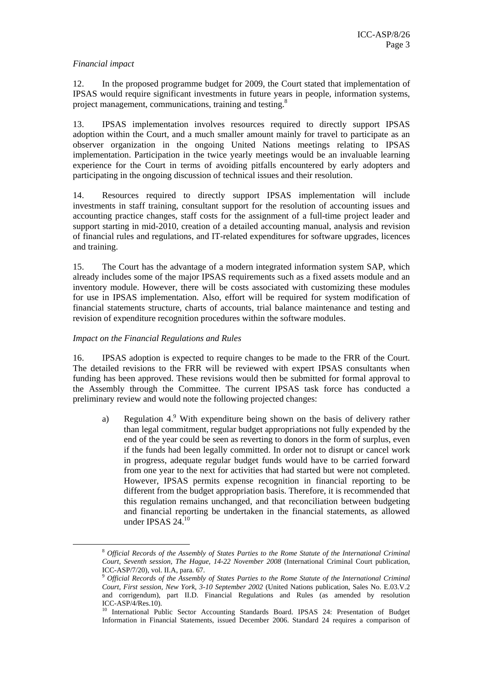#### *Financial impact*

12. In the proposed programme budget for 2009, the Court stated that implementation of IPSAS would require significant investments in future years in people, information systems, project management, communications, training and testing.<sup>8</sup>

13. IPSAS implementation involves resources required to directly support IPSAS adoption within the Court, and a much smaller amount mainly for travel to participate as an observer organization in the ongoing United Nations meetings relating to IPSAS implementation. Participation in the twice yearly meetings would be an invaluable learning experience for the Court in terms of avoiding pitfalls encountered by early adopters and participating in the ongoing discussion of technical issues and their resolution.

14. Resources required to directly support IPSAS implementation will include investments in staff training, consultant support for the resolution of accounting issues and accounting practice changes, staff costs for the assignment of a full-time project leader and support starting in mid-2010, creation of a detailed accounting manual, analysis and revision of financial rules and regulations, and IT-related expenditures for software upgrades, licences and training.

15. The Court has the advantage of a modern integrated information system SAP, which already includes some of the major IPSAS requirements such as a fixed assets module and an inventory module. However, there will be costs associated with customizing these modules for use in IPSAS implementation. Also, effort will be required for system modification of financial statements structure, charts of accounts, trial balance maintenance and testing and revision of expenditure recognition procedures within the software modules.

#### *Impact on the Financial Regulations and Rules*

16. IPSAS adoption is expected to require changes to be made to the FRR of the Court. The detailed revisions to the FRR will be reviewed with expert IPSAS consultants when funding has been approved. These revisions would then be submitted for formal approval to the Assembly through the Committee. The current IPSAS task force has conducted a preliminary review and would note the following projected changes:

a) Regulation  $4.9$  With expenditure being shown on the basis of delivery rather than legal commitment, regular budget appropriations not fully expended by the end of the year could be seen as reverting to donors in the form of surplus, even if the funds had been legally committed. In order not to disrupt or cancel work in progress, adequate regular budget funds would have to be carried forward from one year to the next for activities that had started but were not completed. However, IPSAS permits expense recognition in financial reporting to be different from the budget appropriation basis. Therefore, it is recommended that this regulation remains unchanged, and that reconciliation between budgeting and financial reporting be undertaken in the financial statements, as allowed under IPSAS  $24.10$ 

 <sup>8</sup> *Official Records of the Assembly of States Parties to the Rome Statute of the International Criminal Court, Seventh session, The Hague, 14-22 November 2008* (International Criminal Court publication, ICC-ASP/7/20), vol. II.A, para. 67.

<sup>9</sup> *Official Records of the Assembly of States Parties to the Rome Statute of the International Criminal Court, First session, New York, 3-10 September 2002* (United Nations publication, Sales No. E.03.V.2 and corrigendum), part II.D. Financial Regulations and Rules (as amended by resolution ICC-ASP/4/Res.10).

<sup>&</sup>lt;sup>10</sup> International Public Sector Accounting Standards Board. IPSAS 24: Presentation of Budget Information in Financial Statements, issued December 2006. Standard 24 requires a comparison of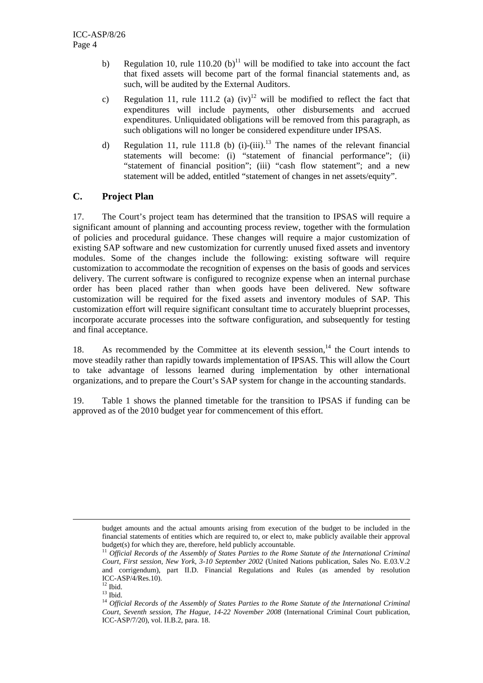- b) Regulation 10, rule  $110.20$  (b)<sup>11</sup> will be modified to take into account the fact that fixed assets will become part of the formal financial statements and, as such, will be audited by the External Auditors.
- c) Regulation 11, rule 111.2 (a)  $(iv)^{12}$  will be modified to reflect the fact that expenditures will include payments, other disbursements and accrued expenditures. Unliquidated obligations will be removed from this paragraph, as such obligations will no longer be considered expenditure under IPSAS.
- d) Regulation 11, rule 111.8 (b)  $(i)-(iii)$ .<sup>13</sup> The names of the relevant financial statements will become: (i) "statement of financial performance"; (ii) "statement of financial position"; (iii) "cash flow statement"; and a new statement will be added, entitled "statement of changes in net assets/equity".

# **C. Project Plan**

17. The Court's project team has determined that the transition to IPSAS will require a significant amount of planning and accounting process review, together with the formulation of policies and procedural guidance. These changes will require a major customization of existing SAP software and new customization for currently unused fixed assets and inventory modules. Some of the changes include the following: existing software will require customization to accommodate the recognition of expenses on the basis of goods and services delivery. The current software is configured to recognize expense when an internal purchase order has been placed rather than when goods have been delivered. New software customization will be required for the fixed assets and inventory modules of SAP. This customization effort will require significant consultant time to accurately blueprint processes, incorporate accurate processes into the software configuration, and subsequently for testing and final acceptance.

18. As recommended by the Committee at its eleventh session, $14$  the Court intends to move steadily rather than rapidly towards implementation of IPSAS. This will allow the Court to take advantage of lessons learned during implementation by other international organizations, and to prepare the Court's SAP system for change in the accounting standards.

19. Table 1 shows the planned timetable for the transition to IPSAS if funding can be approved as of the 2010 budget year for commencement of this effort.

budget amounts and the actual amounts arising from execution of the budget to be included in the financial statements of entities which are required to, or elect to, make publicly available their approval budget(s) for which they are, therefore, held publicly accountable.<br><sup>11</sup> *Official Records of the Assembly of States Parties to the Rome Statute of the International Criminal* 

*Court, First session, New York, 3-10 September 2002* (United Nations publication, Sales No. E.03.V.2 and corrigendum), part II.D. Financial Regulations and Rules (as amended by resolution ICC-ASP/4/Res.10).

 $12$  Ibid.

 $^{13}$  Ibid.

<sup>14</sup> *Official Records of the Assembly of States Parties to the Rome Statute of the International Criminal Court, Seventh session, The Hague, 14-22 November 2008* (International Criminal Court publication, ICC-ASP/7/20), vol. II.B.2, para. 18.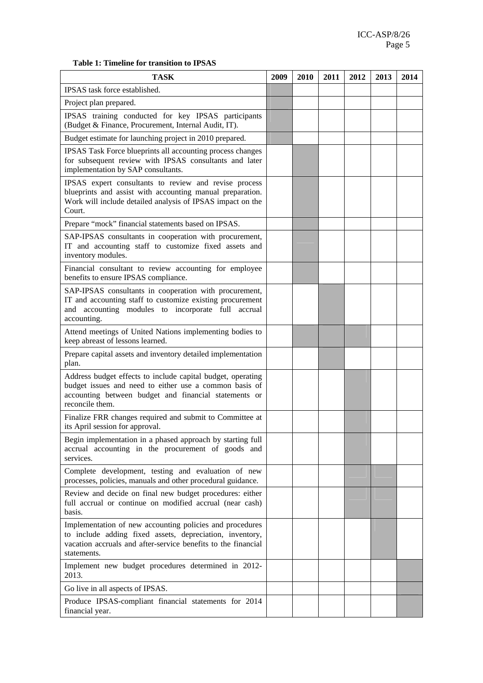### **Table 1: Timeline for transition to IPSAS**

| <b>TASK</b>                                                                                                                                                                                          | 2009 | 2010 | 2011 | 2012 | 2013 | 2014 |
|------------------------------------------------------------------------------------------------------------------------------------------------------------------------------------------------------|------|------|------|------|------|------|
| IPSAS task force established.                                                                                                                                                                        |      |      |      |      |      |      |
| Project plan prepared.                                                                                                                                                                               |      |      |      |      |      |      |
| IPSAS training conducted for key IPSAS participants<br>(Budget & Finance, Procurement, Internal Audit, IT).                                                                                          |      |      |      |      |      |      |
| Budget estimate for launching project in 2010 prepared.                                                                                                                                              |      |      |      |      |      |      |
| IPSAS Task Force blueprints all accounting process changes<br>for subsequent review with IPSAS consultants and later<br>implementation by SAP consultants.                                           |      |      |      |      |      |      |
| IPSAS expert consultants to review and revise process<br>blueprints and assist with accounting manual preparation.<br>Work will include detailed analysis of IPSAS impact on the<br>Court.           |      |      |      |      |      |      |
| Prepare "mock" financial statements based on IPSAS.                                                                                                                                                  |      |      |      |      |      |      |
| SAP-IPSAS consultants in cooperation with procurement,<br>IT and accounting staff to customize fixed assets and<br>inventory modules.                                                                |      |      |      |      |      |      |
| Financial consultant to review accounting for employee<br>benefits to ensure IPSAS compliance.                                                                                                       |      |      |      |      |      |      |
| SAP-IPSAS consultants in cooperation with procurement,<br>IT and accounting staff to customize existing procurement<br>and accounting modules to incorporate full accrual<br>accounting.             |      |      |      |      |      |      |
| Attend meetings of United Nations implementing bodies to<br>keep abreast of lessons learned.                                                                                                         |      |      |      |      |      |      |
| Prepare capital assets and inventory detailed implementation<br>plan.                                                                                                                                |      |      |      |      |      |      |
| Address budget effects to include capital budget, operating<br>budget issues and need to either use a common basis of<br>accounting between budget and financial statements or<br>reconcile them.    |      |      |      |      |      |      |
| Finalize FRR changes required and submit to Committee at<br>its April session for approval.                                                                                                          |      |      |      |      |      |      |
| Begin implementation in a phased approach by starting full<br>accrual accounting in the procurement of goods and<br>services.                                                                        |      |      |      |      |      |      |
| Complete development, testing and evaluation of new<br>processes, policies, manuals and other procedural guidance.                                                                                   |      |      |      |      |      |      |
| Review and decide on final new budget procedures: either<br>full accrual or continue on modified accrual (near cash)<br>basis.                                                                       |      |      |      |      |      |      |
| Implementation of new accounting policies and procedures<br>to include adding fixed assets, depreciation, inventory,<br>vacation accruals and after-service benefits to the financial<br>statements. |      |      |      |      |      |      |
| Implement new budget procedures determined in 2012-<br>2013.                                                                                                                                         |      |      |      |      |      |      |
| Go live in all aspects of IPSAS.                                                                                                                                                                     |      |      |      |      |      |      |
| Produce IPSAS-compliant financial statements for 2014<br>financial year.                                                                                                                             |      |      |      |      |      |      |